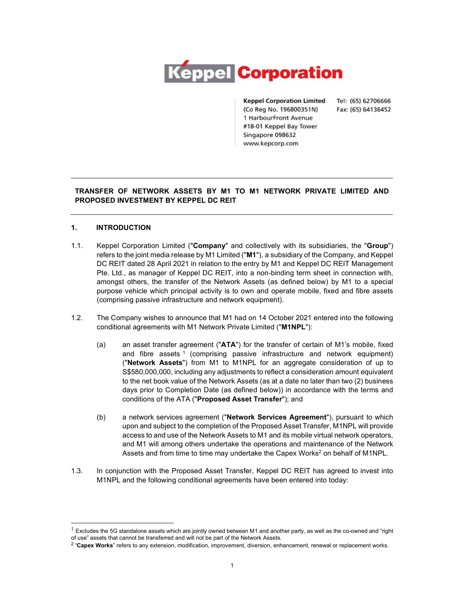

**Keppel Corporation Limited** (Co Reg No. 196800351N) 1 HarbourFront Avenue #18-01 Keppel Bay Tower Singapore 098632 www.kepcorp.com

Tel: (65) 62706666 Fax: (65) 64136452

# TRANSFER OF NETWORK ASSETS BY M1 TO M1 NETWORK PRIVATE LIMITED AND PROPOSED INVESTMENT BY KEPPEL DC REIT

# 1. INTRODUCTION

- 1.1. Keppel Corporation Limited ("Company" and collectively with its subsidiaries, the "Group") refers to the joint media release by M1 Limited ("M1"), a subsidiary of the Company, and Keppel DC REIT dated 28 April 2021 in relation to the entry by M1 and Keppel DC REIT Management Pte. Ltd., as manager of Keppel DC REIT, into a non-binding term sheet in connection with, amongst others, the transfer of the Network Assets (as defined below) by M1 to a special purpose vehicle which principal activity is to own and operate mobile, fixed and fibre assets (comprising passive infrastructure and network equipment).
- 1.2. The Company wishes to announce that M1 had on 14 October 2021 entered into the following conditional agreements with M1 Network Private Limited ("M1NPL"):
	- (a) an asset transfer agreement ("ATA") for the transfer of certain of M1's mobile, fixed and fibre assets <sup>1</sup> (comprising passive infrastructure and network equipment) ("Network Assets") from M1 to M1NPL for an aggregate consideration of up to S\$580,000,000, including any adjustments to reflect a consideration amount equivalent to the net book value of the Network Assets (as at a date no later than two (2) business days prior to Completion Date (as defined below)) in accordance with the terms and conditions of the ATA ("Proposed Asset Transfer"); and
	- (b) a network services agreement ("Network Services Agreement"), pursuant to which upon and subject to the completion of the Proposed Asset Transfer, M1NPL will provide access to and use of the Network Assets to M1 and its mobile virtual network operators, and M1 will among others undertake the operations and maintenance of the Network Assets and from time to time may undertake the Capex Works<sup>2</sup> on behalf of M1NPL.
- 1.3. In conjunction with the Proposed Asset Transfer, Keppel DC REIT has agreed to invest into

M1NPL and the following conditional agreements have been entered into today:<br>1 Excludes the 5G standalone assets which are jointly owned between M1 and another party, as well as the co-owned and "right of use" assets that

<sup>&</sup>lt;sup>2</sup> "Capex Works" refers to any extension, modification, improvement, diversion, enhancement, renewal or replacement works.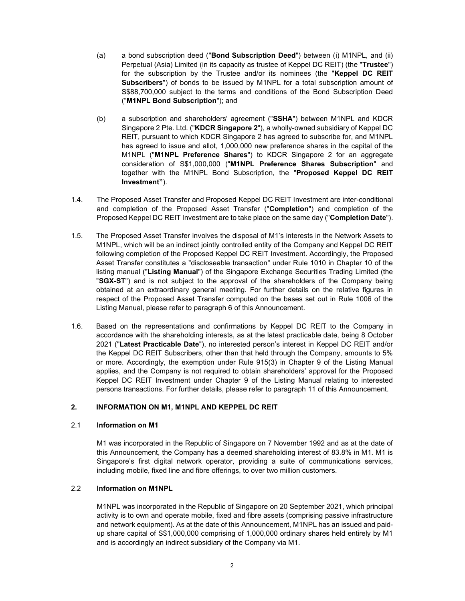- (a) a bond subscription deed ("Bond Subscription Deed") between (i) M1NPL, and (ii) Perpetual (Asia) Limited (in its capacity as trustee of Keppel DC REIT) (the "Trustee") for the subscription by the Trustee and/or its nominees (the "Keppel DC REIT Subscribers") of bonds to be issued by M1NPL for a total subscription amount of S\$88,700,000 subject to the terms and conditions of the Bond Subscription Deed ("M1NPL Bond Subscription"); and
- (b) a subscription and shareholders' agreement ("SSHA") between M1NPL and KDCR Singapore 2 Pte. Ltd. ("KDCR Singapore 2"), a wholly-owned subsidiary of Keppel DC REIT, pursuant to which KDCR Singapore 2 has agreed to subscribe for, and M1NPL has agreed to issue and allot, 1,000,000 new preference shares in the capital of the M1NPL ("M1NPL Preference Shares") to KDCR Singapore 2 for an aggregate consideration of S\$1,000,000 ("M1NPL Preference Shares Subscription" and together with the M1NPL Bond Subscription, the "Proposed Keppel DC REIT Investment").
- 1.4. The Proposed Asset Transfer and Proposed Keppel DC REIT Investment are inter-conditional and completion of the Proposed Asset Transfer ("Completion") and completion of the Proposed Keppel DC REIT Investment are to take place on the same day ("Completion Date").
- 1.5. The Proposed Asset Transfer involves the disposal of M1's interests in the Network Assets to M1NPL, which will be an indirect jointly controlled entity of the Company and Keppel DC REIT following completion of the Proposed Keppel DC REIT Investment. Accordingly, the Proposed Asset Transfer constitutes a "discloseable transaction" under Rule 1010 in Chapter 10 of the listing manual ("Listing Manual") of the Singapore Exchange Securities Trading Limited (the "SGX-ST") and is not subject to the approval of the shareholders of the Company being obtained at an extraordinary general meeting. For further details on the relative figures in respect of the Proposed Asset Transfer computed on the bases set out in Rule 1006 of the Listing Manual, please refer to paragraph 6 of this Announcement.
- 1.6. Based on the representations and confirmations by Keppel DC REIT to the Company in accordance with the shareholding interests, as at the latest practicable date, being 8 October 2021 ("Latest Practicable Date"), no interested person's interest in Keppel DC REIT and/or the Keppel DC REIT Subscribers, other than that held through the Company, amounts to 5% or more. Accordingly, the exemption under Rule 915(3) in Chapter 9 of the Listing Manual applies, and the Company is not required to obtain shareholders' approval for the Proposed Keppel DC REIT Investment under Chapter 9 of the Listing Manual relating to interested persons transactions. For further details, please refer to paragraph 11 of this Announcement.

# 2. INFORMATION ON M1, M1NPL AND KEPPEL DC REIT

# 2.1 Information on M1

M1 was incorporated in the Republic of Singapore on 7 November 1992 and as at the date of this Announcement, the Company has a deemed shareholding interest of 83.8% in M1. M1 is Singapore's first digital network operator, providing a suite of communications services, including mobile, fixed line and fibre offerings, to over two million customers.

# 2.2 Information on M1NPL

M1NPL was incorporated in the Republic of Singapore on 20 September 2021, which principal activity is to own and operate mobile, fixed and fibre assets (comprising passive infrastructure and network equipment). As at the date of this Announcement, M1NPL has an issued and paidup share capital of S\$1,000,000 comprising of 1,000,000 ordinary shares held entirely by M1 and is accordingly an indirect subsidiary of the Company via M1.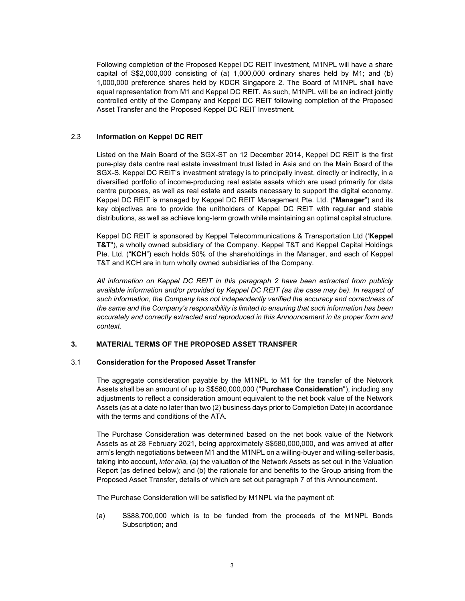Following completion of the Proposed Keppel DC REIT Investment, M1NPL will have a share capital of S\$2,000,000 consisting of (a) 1,000,000 ordinary shares held by M1; and (b) 1,000,000 preference shares held by KDCR Singapore 2. The Board of M1NPL shall have equal representation from M1 and Keppel DC REIT. As such, M1NPL will be an indirect jointly controlled entity of the Company and Keppel DC REIT following completion of the Proposed Asset Transfer and the Proposed Keppel DC REIT Investment.

## 2.3 Information on Keppel DC REIT

Listed on the Main Board of the SGX-ST on 12 December 2014, Keppel DC REIT is the first pure-play data centre real estate investment trust listed in Asia and on the Main Board of the SGX-S. Keppel DC REIT's investment strategy is to principally invest, directly or indirectly, in a diversified portfolio of income-producing real estate assets which are used primarily for data centre purposes, as well as real estate and assets necessary to support the digital economy. Keppel DC REIT is managed by Keppel DC REIT Management Pte. Ltd. ("Manager") and its key objectives are to provide the unitholders of Keppel DC REIT with regular and stable distributions, as well as achieve long-term growth while maintaining an optimal capital structure.

Keppel DC REIT is sponsored by Keppel Telecommunications & Transportation Ltd ('Keppel T&T"), a wholly owned subsidiary of the Company. Keppel T&T and Keppel Capital Holdings Pte. Ltd. ("KCH") each holds 50% of the shareholdings in the Manager, and each of Keppel T&T and KCH are in turn wholly owned subsidiaries of the Company.

All information on Keppel DC REIT in this paragraph 2 have been extracted from publicly available information and/or provided by Keppel DC REIT (as the case may be). In respect of such information, the Company has not independently verified the accuracy and correctness of the same and the Company's responsibility is limited to ensuring that such information has been accurately and correctly extracted and reproduced in this Announcement in its proper form and context.

# 3. MATERIAL TERMS OF THE PROPOSED ASSET TRANSFER

#### 3.1 Consideration for the Proposed Asset Transfer

The aggregate consideration payable by the M1NPL to M1 for the transfer of the Network Assets shall be an amount of up to S\$580,000,000 ("Purchase Consideration"), including any adjustments to reflect a consideration amount equivalent to the net book value of the Network Assets (as at a date no later than two (2) business days prior to Completion Date) in accordance with the terms and conditions of the ATA.

The Purchase Consideration was determined based on the net book value of the Network Assets as at 28 February 2021, being approximately S\$580,000,000, and was arrived at after arm's length negotiations between M1 and the M1NPL on a willing-buyer and willing-seller basis, taking into account, inter alia, (a) the valuation of the Network Assets as set out in the Valuation Report (as defined below); and (b) the rationale for and benefits to the Group arising from the Proposed Asset Transfer, details of which are set out paragraph 7 of this Announcement.

The Purchase Consideration will be satisfied by M1NPL via the payment of:

(a) S\$88,700,000 which is to be funded from the proceeds of the M1NPL Bonds Subscription; and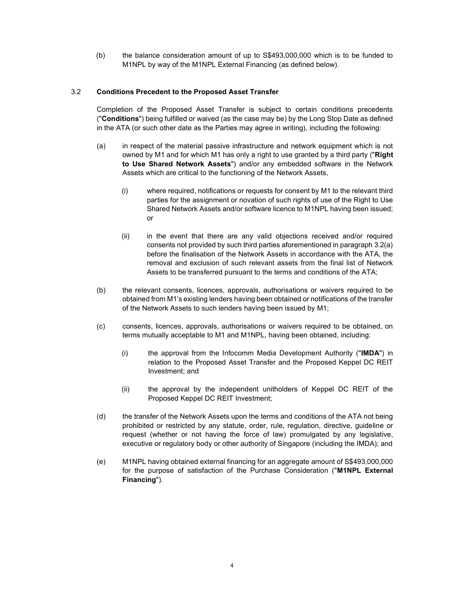(b) the balance consideration amount of up to S\$493,000,000 which is to be funded to M1NPL by way of the M1NPL External Financing (as defined below).

## 3.2 Conditions Precedent to the Proposed Asset Transfer

Completion of the Proposed Asset Transfer is subject to certain conditions precedents ("Conditions") being fulfilled or waived (as the case may be) by the Long Stop Date as defined in the ATA (or such other date as the Parties may agree in writing), including the following:

- (a) in respect of the material passive infrastructure and network equipment which is not owned by M1 and for which M1 has only a right to use granted by a third party ("Right to Use Shared Network Assets") and/or any embedded software in the Network Assets which are critical to the functioning of the Network Assets,
	- (i) where required, notifications or requests for consent by M1 to the relevant third parties for the assignment or novation of such rights of use of the Right to Use Shared Network Assets and/or software licence to M1NPL having been issued; or
	- (ii) in the event that there are any valid objections received and/or required consents not provided by such third parties aforementioned in paragraph 3.2(a) before the finalisation of the Network Assets in accordance with the ATA, the removal and exclusion of such relevant assets from the final list of Network Assets to be transferred pursuant to the terms and conditions of the ATA;
- (b) the relevant consents, licences, approvals, authorisations or waivers required to be obtained from M1's existing lenders having been obtained or notifications of the transfer of the Network Assets to such lenders having been issued by M1;
- (c) consents, licences, approvals, authorisations or waivers required to be obtained, on terms mutually acceptable to M1 and M1NPL, having been obtained, including:
	- (i) the approval from the Infocomm Media Development Authority ("IMDA") in relation to the Proposed Asset Transfer and the Proposed Keppel DC REIT Investment; and
	- (ii) the approval by the independent unitholders of Keppel DC REIT of the Proposed Keppel DC REIT Investment;
- (d) the transfer of the Network Assets upon the terms and conditions of the ATA not being prohibited or restricted by any statute, order, rule, regulation, directive, guideline or request (whether or not having the force of law) promulgated by any legislative, executive or regulatory body or other authority of Singapore (including the IMDA); and
- (e) M1NPL having obtained external financing for an aggregate amount of S\$493,000,000 for the purpose of satisfaction of the Purchase Consideration ("M1NPL External Financing").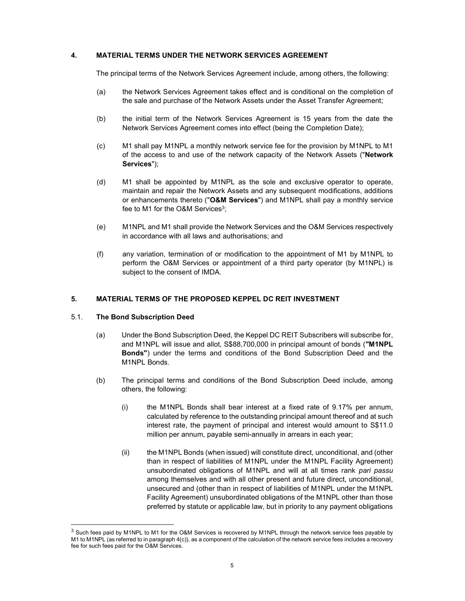## 4. MATERIAL TERMS UNDER THE NETWORK SERVICES AGREEMENT

The principal terms of the Network Services Agreement include, among others, the following:

- (a) the Network Services Agreement takes effect and is conditional on the completion of the sale and purchase of the Network Assets under the Asset Transfer Agreement;
- (b) the initial term of the Network Services Agreement is 15 years from the date the Network Services Agreement comes into effect (being the Completion Date);
- (c) M1 shall pay M1NPL a monthly network service fee for the provision by M1NPL to M1 of the access to and use of the network capacity of the Network Assets ("Network Services");
- (d) M1 shall be appointed by M1NPL as the sole and exclusive operator to operate, maintain and repair the Network Assets and any subsequent modifications, additions or enhancements thereto ("O&M Services") and M1NPL shall pay a monthly service fee to M1 for the O&M Services $^3$ ;
- (e) M1NPL and M1 shall provide the Network Services and the O&M Services respectively in accordance with all laws and authorisations; and
- (f) any variation, termination of or modification to the appointment of M1 by M1NPL to perform the O&M Services or appointment of a third party operator (by M1NPL) is subject to the consent of IMDA.

#### 5. MATERIAL TERMS OF THE PROPOSED KEPPEL DC REIT INVESTMENT

#### 5.1. The Bond Subscription Deed

- (a) Under the Bond Subscription Deed, the Keppel DC REIT Subscribers will subscribe for, and M1NPL will issue and allot, S\$88,700,000 in principal amount of bonds ("M1NPL Bonds") under the terms and conditions of the Bond Subscription Deed and the M1NPL Bonds.
- (b) The principal terms and conditions of the Bond Subscription Deed include, among others, the following:
	- (i) the M1NPL Bonds shall bear interest at a fixed rate of 9.17% per annum, calculated by reference to the outstanding principal amount thereof and at such interest rate, the payment of principal and interest would amount to S\$11.0 million per annum, payable semi-annually in arrears in each year;
	- (ii) the M1NPL Bonds (when issued) will constitute direct, unconditional, and (other than in respect of liabilities of M1NPL under the M1NPL Facility Agreement) unsubordinated obligations of M1NPL and will at all times rank pari passu among themselves and with all other present and future direct, unconditional, unsecured and (other than in respect of liabilities of M1NPL under the M1NPL Facility Agreement) unsubordinated obligations of the M1NPL other than those preferred by statute or applicable law, but in priority to any payment obligations

 $3$  Such fees paid by M1NPL to M1 for the O&M Services is recovered by M1NPL through the network service fees payable by M1 to M1NPL (as referred to in paragraph 4(c)), as a component of the calculation of the network service fees includes a recovery fee for such fees paid for the O&M Services.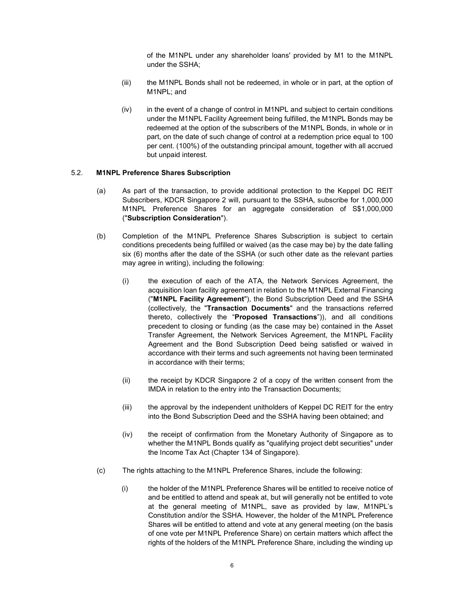of the M1NPL under any shareholder loans' provided by M1 to the M1NPL under the SSHA;

- (iii) the M1NPL Bonds shall not be redeemed, in whole or in part, at the option of M1NPL; and
- (iv) in the event of a change of control in M1NPL and subject to certain conditions under the M1NPL Facility Agreement being fulfilled, the M1NPL Bonds may be redeemed at the option of the subscribers of the M1NPL Bonds, in whole or in part, on the date of such change of control at a redemption price equal to 100 per cent. (100%) of the outstanding principal amount, together with all accrued but unpaid interest.

#### 5.2. M1NPL Preference Shares Subscription

- (a) As part of the transaction, to provide additional protection to the Keppel DC REIT Subscribers, KDCR Singapore 2 will, pursuant to the SSHA, subscribe for 1,000,000 M1NPL Preference Shares for an aggregate consideration of S\$1,000,000 ("Subscription Consideration").
- (b) Completion of the M1NPL Preference Shares Subscription is subject to certain conditions precedents being fulfilled or waived (as the case may be) by the date falling six (6) months after the date of the SSHA (or such other date as the relevant parties may agree in writing), including the following:
	- (i) the execution of each of the ATA, the Network Services Agreement, the acquisition loan facility agreement in relation to the M1NPL External Financing ("M1NPL Facility Agreement"), the Bond Subscription Deed and the SSHA (collectively, the "Transaction Documents" and the transactions referred thereto, collectively the "Proposed Transactions")), and all conditions precedent to closing or funding (as the case may be) contained in the Asset Transfer Agreement, the Network Services Agreement, the M1NPL Facility Agreement and the Bond Subscription Deed being satisfied or waived in accordance with their terms and such agreements not having been terminated in accordance with their terms;
	- (ii) the receipt by KDCR Singapore 2 of a copy of the written consent from the IMDA in relation to the entry into the Transaction Documents;
	- (iii) the approval by the independent unitholders of Keppel DC REIT for the entry into the Bond Subscription Deed and the SSHA having been obtained; and
	- (iv) the receipt of confirmation from the Monetary Authority of Singapore as to whether the M1NPL Bonds qualify as "qualifying project debt securities" under the Income Tax Act (Chapter 134 of Singapore).
- (c) The rights attaching to the M1NPL Preference Shares, include the following:
	- (i) the holder of the M1NPL Preference Shares will be entitled to receive notice of and be entitled to attend and speak at, but will generally not be entitled to vote at the general meeting of M1NPL, save as provided by law, M1NPL's Constitution and/or the SSHA. However, the holder of the M1NPL Preference Shares will be entitled to attend and vote at any general meeting (on the basis of one vote per M1NPL Preference Share) on certain matters which affect the rights of the holders of the M1NPL Preference Share, including the winding up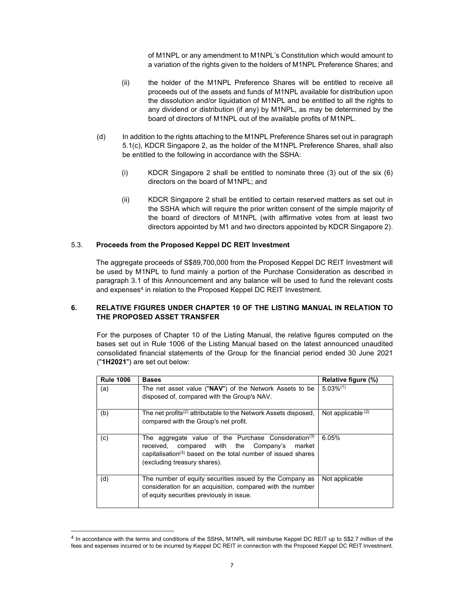of M1NPL or any amendment to M1NPL's Constitution which would amount to a variation of the rights given to the holders of M1NPL Preference Shares; and

- (ii) the holder of the M1NPL Preference Shares will be entitled to receive all proceeds out of the assets and funds of M1NPL available for distribution upon the dissolution and/or liquidation of M1NPL and be entitled to all the rights to any dividend or distribution (if any) by M1NPL, as may be determined by the board of directors of M1NPL out of the available profits of M1NPL.
- (d) In addition to the rights attaching to the M1NPL Preference Shares set out in paragraph 5.1(c), KDCR Singapore 2, as the holder of the M1NPL Preference Shares, shall also be entitled to the following in accordance with the SSHA:
	- (i) KDCR Singapore 2 shall be entitled to nominate three (3) out of the six (6) directors on the board of M1NPL; and
	- (ii) KDCR Singapore 2 shall be entitled to certain reserved matters as set out in the SSHA which will require the prior written consent of the simple majority of the board of directors of M1NPL (with affirmative votes from at least two directors appointed by M1 and two directors appointed by KDCR Singapore 2).

#### 5.3. Proceeds from the Proposed Keppel DC REIT Investment

The aggregate proceeds of S\$89,700,000 from the Proposed Keppel DC REIT Investment will be used by M1NPL to fund mainly a portion of the Purchase Consideration as described in paragraph 3.1 of this Announcement and any balance will be used to fund the relevant costs and expenses<sup>4</sup> in relation to the Proposed Keppel DC REIT Investment.

# 6. RELATIVE FIGURES UNDER CHAPTER 10 OF THE LISTING MANUAL IN RELATION TO THE PROPOSED ASSET TRANSFER

For the purposes of Chapter 10 of the Listing Manual, the relative figures computed on the bases set out in Rule 1006 of the Listing Manual based on the latest announced unaudited consolidated financial statements of the Group for the financial period ended 30 June 2021 ("1H2021") are set out below:

| <b>Rule 1006</b> | <b>Bases</b>                                                                                                                                                                                                                    | Relative figure (%)  |
|------------------|---------------------------------------------------------------------------------------------------------------------------------------------------------------------------------------------------------------------------------|----------------------|
| (a)              | The net asset value ("NAV") of the Network Assets to be<br>disposed of, compared with the Group's NAV.                                                                                                                          | $5.03\%^{(1)}$       |
| (b)              | The net profits <sup>(2)</sup> attributable to the Network Assets disposed,<br>compared with the Group's net profit.                                                                                                            | Not applicable $(2)$ |
| (c)              | The aggregate value of the Purchase Consideration <sup>(3)</sup><br>received, compared with the Company's<br>market<br>capitalisation <sup>(3)</sup> based on the total number of issued shares<br>(excluding treasury shares). | 6.05%                |
| (d)              | The number of equity securities issued by the Company as<br>consideration for an acquisition, compared with the number<br>of equity securities previously in issue.                                                             | Not applicable       |

<sup>&</sup>lt;sup>4</sup> In accordance with the terms and conditions of the SSHA, M1NPL will reimburse Keppel DC REIT up to S\$2.7 million of the fees and expenses incurred or to be incurred by Keppel DC REIT in connection with the Proposed Keppel DC REIT Investment.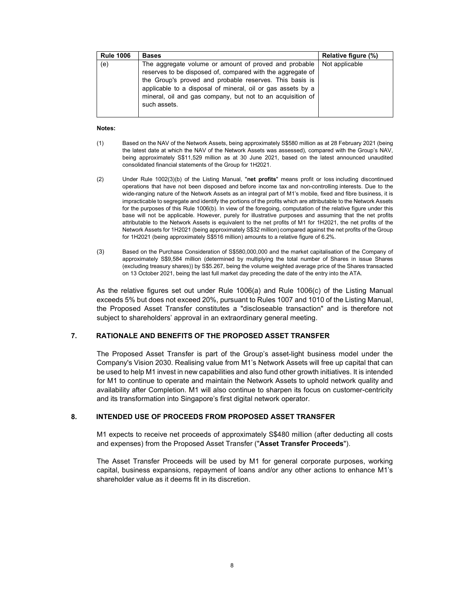| <b>Rule 1006</b> | <b>Bases</b>                                                                                                                                                                                                                                                                                                                | Relative figure (%) |
|------------------|-----------------------------------------------------------------------------------------------------------------------------------------------------------------------------------------------------------------------------------------------------------------------------------------------------------------------------|---------------------|
| (e)              | The aggregate volume or amount of proved and probable<br>reserves to be disposed of, compared with the aggregate of<br>the Group's proved and probable reserves. This basis is<br>applicable to a disposal of mineral, oil or gas assets by a<br>mineral, oil and gas company, but not to an acquisition of<br>such assets. | Not applicable      |

#### Notes:

- (1) Based on the NAV of the Network Assets, being approximately S\$580 million as at 28 February 2021 (being the latest date at which the NAV of the Network Assets was assessed), compared with the Group's NAV, being approximately S\$11,529 million as at 30 June 2021, based on the latest announced unaudited consolidated financial statements of the Group for 1H2021.
- (2) Under Rule 1002(3)(b) of the Listing Manual, "net profits" means profit or loss including discontinued operations that have not been disposed and before income tax and non-controlling interests. Due to the wide-ranging nature of the Network Assets as an integral part of M1's mobile, fixed and fibre business, it is impracticable to segregate and identify the portions of the profits which are attributable to the Network Assets for the purposes of this Rule 1006(b). In view of the foregoing, computation of the relative figure under this base will not be applicable. However, purely for illustrative purposes and assuming that the net profits attributable to the Network Assets is equivalent to the net profits of M1 for 1H2021, the net profits of the Network Assets for 1H2021 (being approximately S\$32 million) compared against the net profits of the Group for 1H2021 (being approximately S\$516 million) amounts to a relative figure of 6.2%.
- (3) Based on the Purchase Consideration of S\$580,000,000 and the market capitalisation of the Company of approximately S\$9,584 million (determined by multiplying the total number of Shares in issue Shares (excluding treasury shares)) by S\$5.267, being the volume weighted average price of the Shares transacted on 13 October 2021, being the last full market day preceding the date of the entry into the ATA.

As the relative figures set out under Rule 1006(a) and Rule 1006(c) of the Listing Manual exceeds 5% but does not exceed 20%, pursuant to Rules 1007 and 1010 of the Listing Manual, the Proposed Asset Transfer constitutes a "discloseable transaction" and is therefore not subject to shareholders' approval in an extraordinary general meeting.

# 7. RATIONALE AND BENEFITS OF THE PROPOSED ASSET TRANSFER

The Proposed Asset Transfer is part of the Group's asset-light business model under the Company's Vision 2030. Realising value from M1's Network Assets will free up capital that can be used to help M1 invest in new capabilities and also fund other growth initiatives. It is intended for M1 to continue to operate and maintain the Network Assets to uphold network quality and availability after Completion. M1 will also continue to sharpen its focus on customer-centricity and its transformation into Singapore's first digital network operator.

#### 8. INTENDED USE OF PROCEEDS FROM PROPOSED ASSET TRANSFER

M1 expects to receive net proceeds of approximately S\$480 million (after deducting all costs and expenses) from the Proposed Asset Transfer ("Asset Transfer Proceeds").

The Asset Transfer Proceeds will be used by M1 for general corporate purposes, working capital, business expansions, repayment of loans and/or any other actions to enhance M1's shareholder value as it deems fit in its discretion.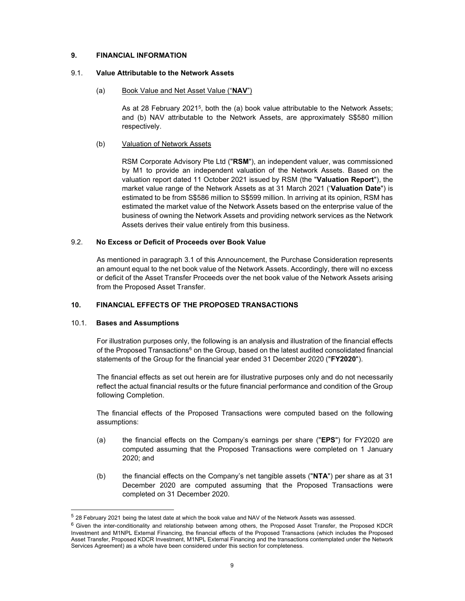## 9. FINANCIAL INFORMATION

### 9.1. Value Attributable to the Network Assets

## (a) Book Value and Net Asset Value ("NAV")

As at 28 February 2021<sup>5</sup>, both the (a) book value attributable to the Network Assets; and (b) NAV attributable to the Network Assets, are approximately S\$580 million respectively.

## (b) Valuation of Network Assets

RSM Corporate Advisory Pte Ltd ("RSM"), an independent valuer, was commissioned by M1 to provide an independent valuation of the Network Assets. Based on the valuation report dated 11 October 2021 issued by RSM (the "Valuation Report"), the market value range of the Network Assets as at 31 March 2021 ('Valuation Date") is estimated to be from S\$586 million to S\$599 million. In arriving at its opinion, RSM has estimated the market value of the Network Assets based on the enterprise value of the business of owning the Network Assets and providing network services as the Network Assets derives their value entirely from this business.

# 9.2. No Excess or Deficit of Proceeds over Book Value

As mentioned in paragraph 3.1 of this Announcement, the Purchase Consideration represents an amount equal to the net book value of the Network Assets. Accordingly, there will no excess or deficit of the Asset Transfer Proceeds over the net book value of the Network Assets arising from the Proposed Asset Transfer.

# 10. FINANCIAL EFFECTS OF THE PROPOSED TRANSACTIONS

#### 10.1. Bases and Assumptions

For illustration purposes only, the following is an analysis and illustration of the financial effects of the Proposed Transactions $^6$  on the Group, based on the latest audited consolidated financial statements of the Group for the financial year ended 31 December 2020 ("FY2020").

The financial effects as set out herein are for illustrative purposes only and do not necessarily reflect the actual financial results or the future financial performance and condition of the Group following Completion.

The financial effects of the Proposed Transactions were computed based on the following assumptions:

- (a) the financial effects on the Company's earnings per share ("EPS") for FY2020 are computed assuming that the Proposed Transactions were completed on 1 January 2020; and
- (b) the financial effects on the Company's net tangible assets ("NTA") per share as at 31 December 2020 are computed assuming that the Proposed Transactions were completed on 31 December 2020.

<sup>5</sup> 28 February 2021 being the latest date at which the book value and NAV of the Network Assets was assessed.

 $6$  Given the inter-conditionality and relationship between among others, the Proposed Asset Transfer, the Proposed KDCR Investment and M1NPL External Financing, the financial effects of the Proposed Transactions (which includes the Proposed Asset Transfer, Proposed KDCR Investment, M1NPL External Financing and the transactions contemplated under the Network Services Agreement) as a whole have been considered under this section for completeness.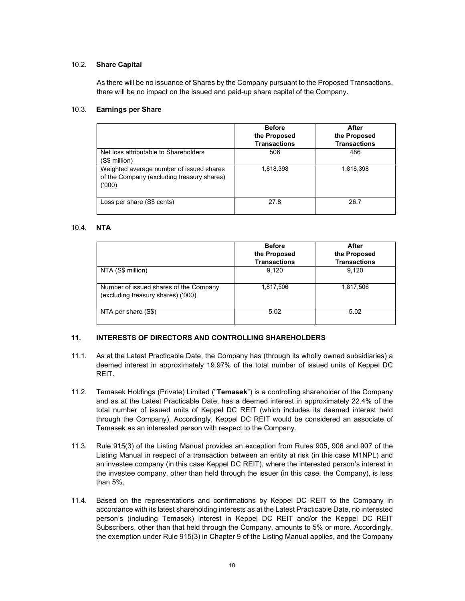# 10.2. Share Capital

As there will be no issuance of Shares by the Company pursuant to the Proposed Transactions, there will be no impact on the issued and paid-up share capital of the Company.

# 10.3. Earnings per Share

|                                                                                                 | <b>Before</b><br>the Proposed<br><b>Transactions</b> | After<br>the Proposed<br><b>Transactions</b> |
|-------------------------------------------------------------------------------------------------|------------------------------------------------------|----------------------------------------------|
| Net loss attributable to Shareholders<br>(S\$ million)                                          | 506                                                  | 486                                          |
| Weighted average number of issued shares<br>of the Company (excluding treasury shares)<br>(000) | 1,818,398                                            | 1,818,398                                    |
| Loss per share (S\$ cents)                                                                      | 27.8                                                 | 26.7                                         |

# 10.4. NTA

|                                                                              | <b>Before</b><br>the Proposed<br><b>Transactions</b> | After<br>the Proposed<br><b>Transactions</b> |
|------------------------------------------------------------------------------|------------------------------------------------------|----------------------------------------------|
| NTA (S\$ million)                                                            | 9,120                                                | 9,120                                        |
| Number of issued shares of the Company<br>(excluding treasury shares) ('000) | 1,817,506                                            | 1,817,506                                    |
| NTA per share (S\$)                                                          | 5.02                                                 | 5.02                                         |

# 11. INTERESTS OF DIRECTORS AND CONTROLLING SHAREHOLDERS

- 11.1. As at the Latest Practicable Date, the Company has (through its wholly owned subsidiaries) a deemed interest in approximately 19.97% of the total number of issued units of Keppel DC REIT.
- 11.2. Temasek Holdings (Private) Limited ("Temasek") is a controlling shareholder of the Company and as at the Latest Practicable Date, has a deemed interest in approximately 22.4% of the total number of issued units of Keppel DC REIT (which includes its deemed interest held through the Company). Accordingly, Keppel DC REIT would be considered an associate of Temasek as an interested person with respect to the Company.
- 11.3. Rule 915(3) of the Listing Manual provides an exception from Rules 905, 906 and 907 of the Listing Manual in respect of a transaction between an entity at risk (in this case M1NPL) and an investee company (in this case Keppel DC REIT), where the interested person's interest in the investee company, other than held through the issuer (in this case, the Company), is less than 5%.
- 11.4. Based on the representations and confirmations by Keppel DC REIT to the Company in accordance with its latest shareholding interests as at the Latest Practicable Date, no interested person's (including Temasek) interest in Keppel DC REIT and/or the Keppel DC REIT Subscribers, other than that held through the Company, amounts to 5% or more. Accordingly, the exemption under Rule 915(3) in Chapter 9 of the Listing Manual applies, and the Company